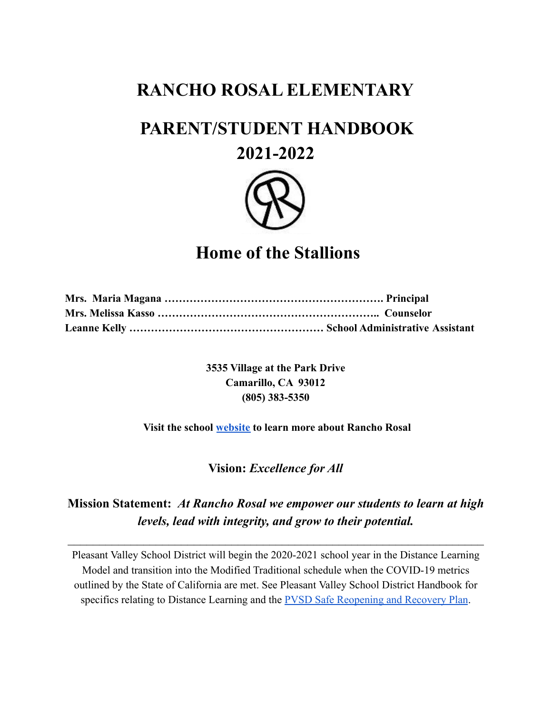# **RANCHO ROSAL ELEMENTARY**

# **PARENT/STUDENT HANDBOOK**

# **2021-2022**



# **Home of the Stallions**

**3535 Village at the Park Drive Camarillo, CA 93012 (805) 383-5350**

## **Visit the school [website](https://www.pleasantvalleysd.org/Domain/16) to learn more about Rancho Rosal**

## **Vision:** *Excellence for All*

# **Mission Statement:** *At Rancho Rosal we empower our students to learn at high levels, lead with integrity, and grow to their potential.*

 $\mathcal{L}_\text{max}$  , and the contribution of the contribution of the contribution of the contribution of the contribution of the contribution of the contribution of the contribution of the contribution of the contribution of t

Pleasant Valley School District will begin the 2020-2021 school year in the Distance Learning Model and transition into the Modified Traditional schedule when the COVID-19 metrics outlined by the State of California are met. See Pleasant Valley School District Handbook for specifics relating to Distance Learning and the **PVSD** [Safe Reopening and Recovery Plan](https://drive.google.com/file/d/1e9FJjCx0fuJBkQ7-q4snAI03o7Gll-GD/view?usp=sharing).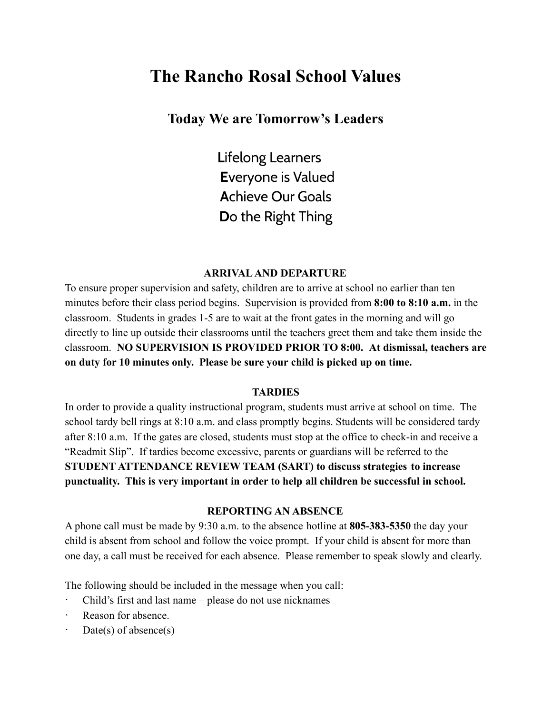# **The Rancho Rosal School Values**

## **Today We are Tomorrow's Leaders**

**L**ifelong Learners **E**veryone is Valued **A**chieve Our Goals **D**o the Right Thing

#### **ARRIVALAND DEPARTURE**

To ensure proper supervision and safety, children are to arrive at school no earlier than ten minutes before their class period begins. Supervision is provided from **8:00 to 8:10 a.m.** in the classroom. Students in grades 1-5 are to wait at the front gates in the morning and will go directly to line up outside their classrooms until the teachers greet them and take them inside the classroom. **NO SUPERVISION IS PROVIDED PRIOR TO 8:00. At dismissal, teachers are on duty for 10 minutes only. Please be sure your child is picked up on time.**

#### **TARDIES**

In order to provide a quality instructional program, students must arrive at school on time. The school tardy bell rings at 8:10 a.m. and class promptly begins. Students will be considered tardy after 8:10 a.m. If the gates are closed, students must stop at the office to check-in and receive a "Readmit Slip". If tardies become excessive, parents or guardians will be referred to the **STUDENT ATTENDANCE REVIEW TEAM (SART) to discuss strategies to increase punctuality. This is very important in order to help all children be successful in school.**

#### **REPORTING AN ABSENCE**

A phone call must be made by 9:30 a.m. to the absence hotline at **805-383-5350** the day your child is absent from school and follow the voice prompt. If your child is absent for more than one day, a call must be received for each absence. Please remember to speak slowly and clearly.

The following should be included in the message when you call:

- Child's first and last name please do not use nicknames
- Reason for absence.
- $Date(s)$  of absence(s)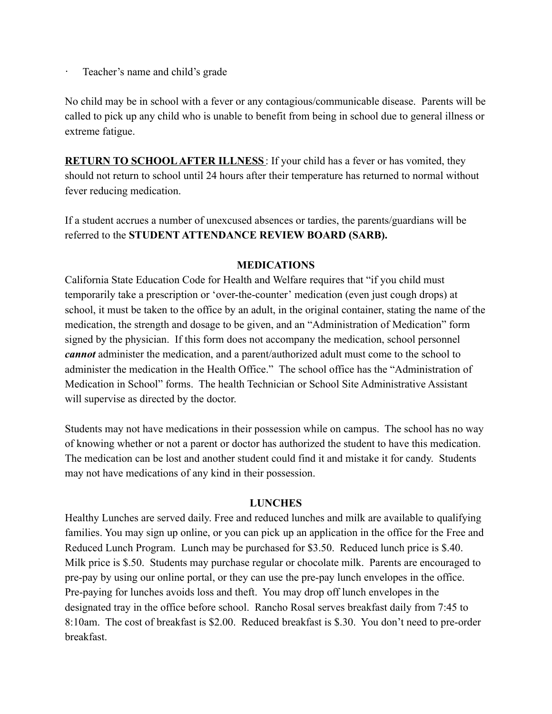Teacher's name and child's grade

No child may be in school with a fever or any contagious/communicable disease. Parents will be called to pick up any child who is unable to benefit from being in school due to general illness or extreme fatigue.

**RETURN TO SCHOOL AFTER ILLNESS**: If your child has a fever or has vomited, they should not return to school until 24 hours after their temperature has returned to normal without fever reducing medication.

If a student accrues a number of unexcused absences or tardies, the parents/guardians will be referred to the **STUDENT ATTENDANCE REVIEW BOARD (SARB).**

#### **MEDICATIONS**

California State Education Code for Health and Welfare requires that "if you child must temporarily take a prescription or 'over-the-counter' medication (even just cough drops) at school, it must be taken to the office by an adult, in the original container, stating the name of the medication, the strength and dosage to be given, and an "Administration of Medication" form signed by the physician. If this form does not accompany the medication, school personnel *cannot* administer the medication, and a parent/authorized adult must come to the school to administer the medication in the Health Office." The school office has the "Administration of Medication in School" forms. The health Technician or School Site Administrative Assistant will supervise as directed by the doctor.

Students may not have medications in their possession while on campus. The school has no way of knowing whether or not a parent or doctor has authorized the student to have this medication. The medication can be lost and another student could find it and mistake it for candy. Students may not have medications of any kind in their possession.

#### **LUNCHES**

Healthy Lunches are served daily. Free and reduced lunches and milk are available to qualifying families. You may sign up online, or you can pick up an application in the office for the Free and Reduced Lunch Program. Lunch may be purchased for \$3.50. Reduced lunch price is \$.40. Milk price is \$.50. Students may purchase regular or chocolate milk. Parents are encouraged to pre-pay by using our online portal, or they can use the pre-pay lunch envelopes in the office. Pre-paying for lunches avoids loss and theft. You may drop off lunch envelopes in the designated tray in the office before school. Rancho Rosal serves breakfast daily from 7:45 to 8:10am. The cost of breakfast is \$2.00. Reduced breakfast is \$.30. You don't need to pre-order breakfast.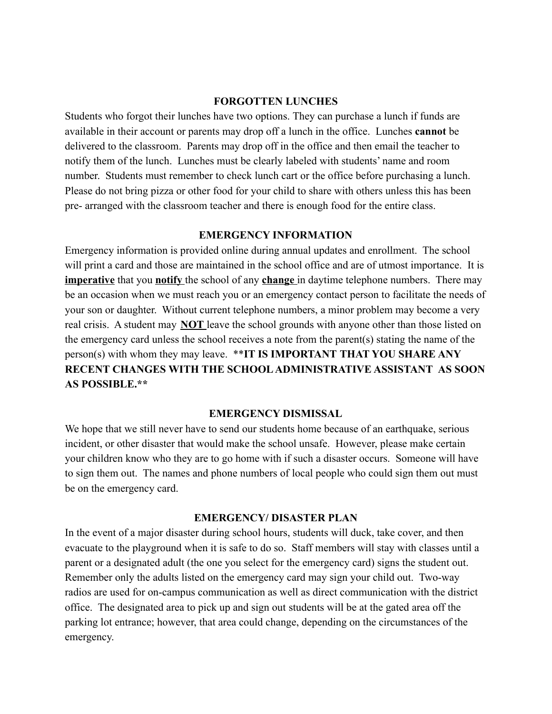#### **FORGOTTEN LUNCHES**

Students who forgot their lunches have two options. They can purchase a lunch if funds are available in their account or parents may drop off a lunch in the office. Lunches **cannot** be delivered to the classroom. Parents may drop off in the office and then email the teacher to notify them of the lunch. Lunches must be clearly labeled with students' name and room number. Students must remember to check lunch cart or the office before purchasing a lunch. Please do not bring pizza or other food for your child to share with others unless this has been pre- arranged with the classroom teacher and there is enough food for the entire class.

#### **EMERGENCY INFORMATION**

Emergency information is provided online during annual updates and enrollment. The school will print a card and those are maintained in the school office and are of utmost importance. It is **imperative** that you **notify** the school of any **change** in daytime telephone numbers. There may be an occasion when we must reach you or an emergency contact person to facilitate the needs of your son or daughter. Without current telephone numbers, a minor problem may become a very real crisis. A student may **NOT** leave the school grounds with anyone other than those listed on the emergency card unless the school receives a note from the parent(s) stating the name of the person(s) with whom they may leave. \*\***IT IS IMPORTANT THAT YOU SHARE ANY RECENT CHANGES WITH THE SCHOOL ADMINISTRATIVE ASSISTANT AS SOON AS POSSIBLE.\*\***

#### **EMERGENCY DISMISSAL**

We hope that we still never have to send our students home because of an earthquake, serious incident, or other disaster that would make the school unsafe. However, please make certain your children know who they are to go home with if such a disaster occurs. Someone will have to sign them out. The names and phone numbers of local people who could sign them out must be on the emergency card.

## **EMERGENCY/ DISASTER PLAN**

In the event of a major disaster during school hours, students will duck, take cover, and then evacuate to the playground when it is safe to do so. Staff members will stay with classes until a parent or a designated adult (the one you select for the emergency card) signs the student out. Remember only the adults listed on the emergency card may sign your child out. Two-way radios are used for on-campus communication as well as direct communication with the district office. The designated area to pick up and sign out students will be at the gated area off the parking lot entrance; however, that area could change, depending on the circumstances of the emergency.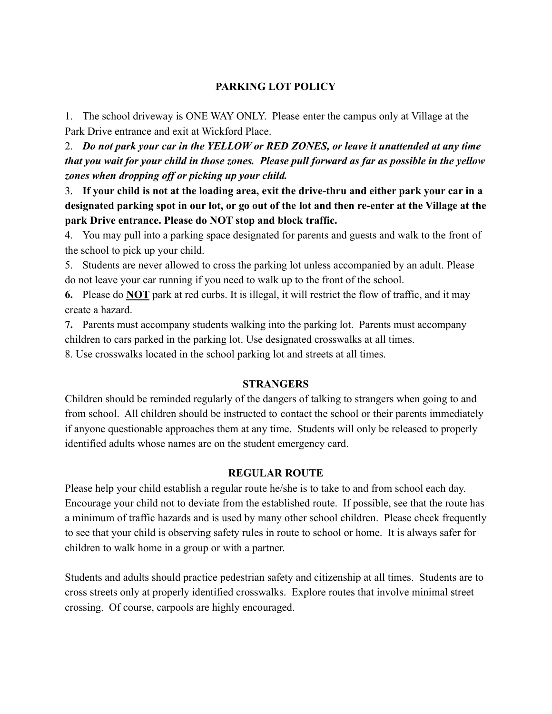## **PARKING LOT POLICY**

1. The school driveway is ONE WAY ONLY. Please enter the campus only at Village at the Park Drive entrance and exit at Wickford Place.

2. *Do not park your car in the YELLOW or RED ZONES, or leave it unattended at any time that you wait for your child in those zones. Please pull forward as far as possible in the yellow zones when dropping off or picking up your child.*

3. **If your child is not at the loading area, exit the drive-thru and either park your car in a designated parking spot in our lot, or go out of the lot and then re-enter at the Village at the park Drive entrance. Please do NOT stop and block traffic.**

4. You may pull into a parking space designated for parents and guests and walk to the front of the school to pick up your child.

5. Students are never allowed to cross the parking lot unless accompanied by an adult. Please do not leave your car running if you need to walk up to the front of the school.

**6.** Please do **NOT** park at red curbs. It is illegal, it will restrict the flow of traffic, and it may create a hazard.

**7.** Parents must accompany students walking into the parking lot. Parents must accompany children to cars parked in the parking lot. Use designated crosswalks at all times.

8. Use crosswalks located in the school parking lot and streets at all times.

#### **STRANGERS**

Children should be reminded regularly of the dangers of talking to strangers when going to and from school. All children should be instructed to contact the school or their parents immediately if anyone questionable approaches them at any time. Students will only be released to properly identified adults whose names are on the student emergency card.

## **REGULAR ROUTE**

Please help your child establish a regular route he/she is to take to and from school each day. Encourage your child not to deviate from the established route. If possible, see that the route has a minimum of traffic hazards and is used by many other school children. Please check frequently to see that your child is observing safety rules in route to school or home. It is always safer for children to walk home in a group or with a partner.

Students and adults should practice pedestrian safety and citizenship at all times. Students are to cross streets only at properly identified crosswalks. Explore routes that involve minimal street crossing. Of course, carpools are highly encouraged.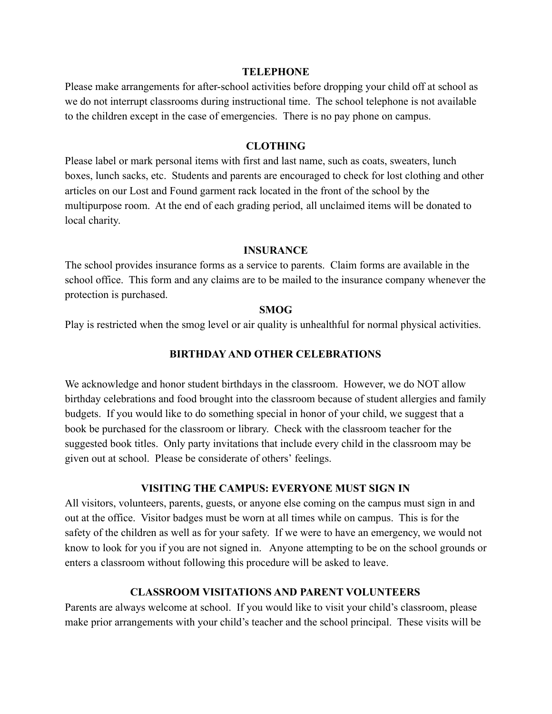#### **TELEPHONE**

Please make arrangements for after-school activities before dropping your child off at school as we do not interrupt classrooms during instructional time. The school telephone is not available to the children except in the case of emergencies. There is no pay phone on campus.

#### **CLOTHING**

Please label or mark personal items with first and last name, such as coats, sweaters, lunch boxes, lunch sacks, etc. Students and parents are encouraged to check for lost clothing and other articles on our Lost and Found garment rack located in the front of the school by the multipurpose room. At the end of each grading period, all unclaimed items will be donated to local charity.

#### **INSURANCE**

The school provides insurance forms as a service to parents. Claim forms are available in the school office. This form and any claims are to be mailed to the insurance company whenever the protection is purchased.

#### **SMOG**

Play is restricted when the smog level or air quality is unhealthful for normal physical activities.

#### **BIRTHDAY AND OTHER CELEBRATIONS**

We acknowledge and honor student birthdays in the classroom. However, we do NOT allow birthday celebrations and food brought into the classroom because of student allergies and family budgets. If you would like to do something special in honor of your child, we suggest that a book be purchased for the classroom or library. Check with the classroom teacher for the suggested book titles. Only party invitations that include every child in the classroom may be given out at school. Please be considerate of others' feelings.

#### **VISITING THE CAMPUS: EVERYONE MUST SIGN IN**

All visitors, volunteers, parents, guests, or anyone else coming on the campus must sign in and out at the office. Visitor badges must be worn at all times while on campus. This is for the safety of the children as well as for your safety. If we were to have an emergency, we would not know to look for you if you are not signed in. Anyone attempting to be on the school grounds or enters a classroom without following this procedure will be asked to leave.

#### **CLASSROOM VISITATIONS AND PARENT VOLUNTEERS**

Parents are always welcome at school. If you would like to visit your child's classroom, please make prior arrangements with your child's teacher and the school principal. These visits will be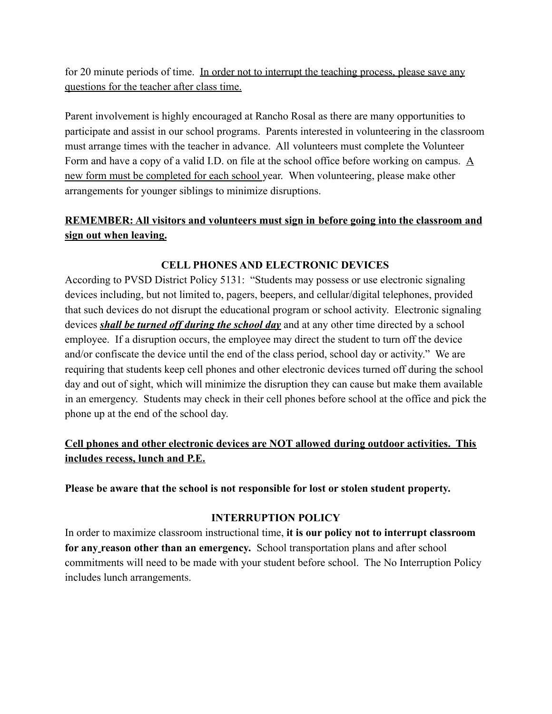for 20 minute periods of time. In order not to interrupt the teaching process, please save any questions for the teacher after class time.

Parent involvement is highly encouraged at Rancho Rosal as there are many opportunities to participate and assist in our school programs. Parents interested in volunteering in the classroom must arrange times with the teacher in advance. All volunteers must complete the Volunteer Form and have a copy of a valid I.D. on file at the school office before working on campus. A new form must be completed for each school year. When volunteering, please make other arrangements for younger siblings to minimize disruptions.

## **REMEMBER: All visitors and volunteers must sign in before going into the classroom and sign out when leaving.**

## **CELL PHONES AND ELECTRONIC DEVICES**

According to PVSD District Policy 5131: "Students may possess or use electronic signaling devices including, but not limited to, pagers, beepers, and cellular/digital telephones, provided that such devices do not disrupt the educational program or school activity. Electronic signaling devices *shall be turned off during the school day* and at any other time directed by a school employee. If a disruption occurs, the employee may direct the student to turn off the device and/or confiscate the device until the end of the class period, school day or activity." We are requiring that students keep cell phones and other electronic devices turned off during the school day and out of sight, which will minimize the disruption they can cause but make them available in an emergency. Students may check in their cell phones before school at the office and pick the phone up at the end of the school day.

## **Cell phones and other electronic devices are NOT allowed during outdoor activities. This includes recess, lunch and P.E.**

**Please be aware that the school is not responsible for lost or stolen student property.**

## **INTERRUPTION POLICY**

In order to maximize classroom instructional time, **it is our policy not to interrupt classroom for any reason other than an emergency.** School transportation plans and after school commitments will need to be made with your student before school. The No Interruption Policy includes lunch arrangements.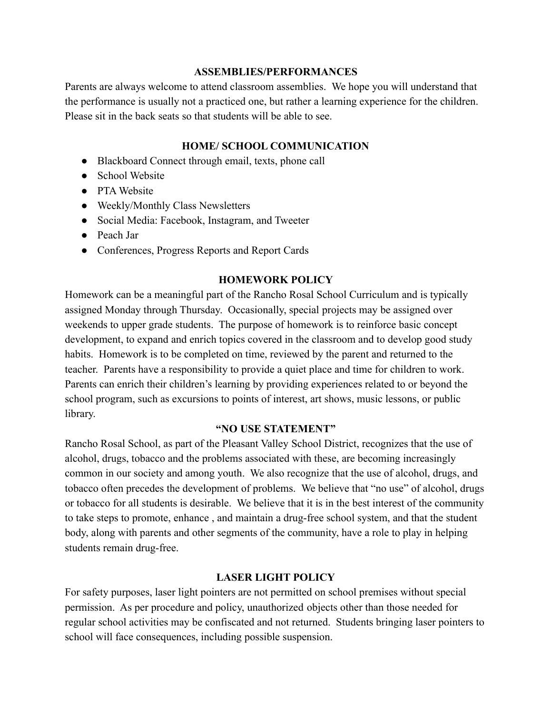#### **ASSEMBLIES/PERFORMANCES**

Parents are always welcome to attend classroom assemblies. We hope you will understand that the performance is usually not a practiced one, but rather a learning experience for the children. Please sit in the back seats so that students will be able to see.

## **HOME/ SCHOOL COMMUNICATION**

- Blackboard Connect through email, texts, phone call
- School Website
- PTA Website
- Weekly/Monthly Class Newsletters
- Social Media: Facebook, Instagram, and Tweeter
- Peach Jar
- Conferences, Progress Reports and Report Cards

## **HOMEWORK POLICY**

Homework can be a meaningful part of the Rancho Rosal School Curriculum and is typically assigned Monday through Thursday. Occasionally, special projects may be assigned over weekends to upper grade students. The purpose of homework is to reinforce basic concept development, to expand and enrich topics covered in the classroom and to develop good study habits. Homework is to be completed on time, reviewed by the parent and returned to the teacher. Parents have a responsibility to provide a quiet place and time for children to work. Parents can enrich their children's learning by providing experiences related to or beyond the school program, such as excursions to points of interest, art shows, music lessons, or public library.

#### **"NO USE STATEMENT"**

Rancho Rosal School, as part of the Pleasant Valley School District, recognizes that the use of alcohol, drugs, tobacco and the problems associated with these, are becoming increasingly common in our society and among youth. We also recognize that the use of alcohol, drugs, and tobacco often precedes the development of problems. We believe that "no use" of alcohol, drugs or tobacco for all students is desirable. We believe that it is in the best interest of the community to take steps to promote, enhance , and maintain a drug-free school system, and that the student body, along with parents and other segments of the community, have a role to play in helping students remain drug-free.

## **LASER LIGHT POLICY**

For safety purposes, laser light pointers are not permitted on school premises without special permission. As per procedure and policy, unauthorized objects other than those needed for regular school activities may be confiscated and not returned. Students bringing laser pointers to school will face consequences, including possible suspension.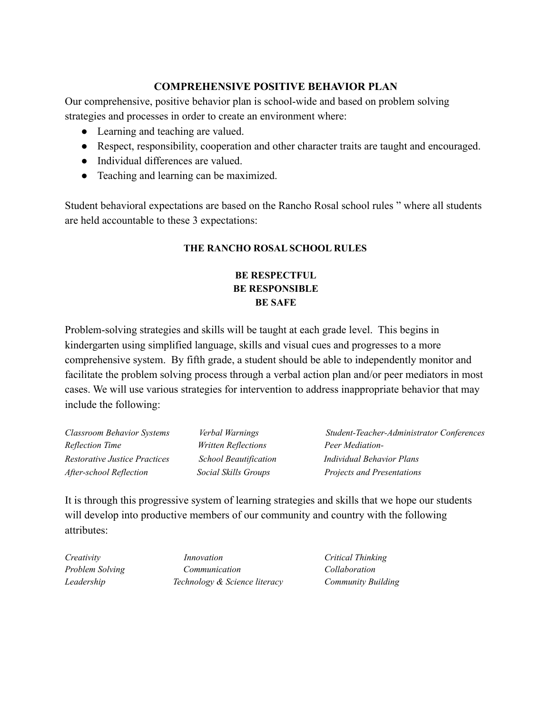## **COMPREHENSIVE POSITIVE BEHAVIOR PLAN**

Our comprehensive, positive behavior plan is school-wide and based on problem solving strategies and processes in order to create an environment where:

- Learning and teaching are valued.
- Respect, responsibility, cooperation and other character traits are taught and encouraged.
- Individual differences are valued.
- Teaching and learning can be maximized.

Student behavioral expectations are based on the Rancho Rosal school rules " where all students are held accountable to these 3 expectations:

## **THE RANCHO ROSAL SCHOOL RULES**

## **BE RESPECTFUL BE RESPONSIBLE BE SAFE**

Problem-solving strategies and skills will be taught at each grade level. This begins in kindergarten using simplified language, skills and visual cues and progresses to a more comprehensive system. By fifth grade, a student should be able to independently monitor and facilitate the problem solving process through a verbal action plan and/or peer mediators in most cases. We will use various strategies for intervention to address inappropriate behavior that may include the following:

| <b>Classroom Behavior Systems</b> | Verbal Warnings              | Student-Teacher-Administrator Conferences |
|-----------------------------------|------------------------------|-------------------------------------------|
| Reflection Time                   | <i>Written Reflections</i>   | Peer Mediation-                           |
| Restorative Justice Practices     | <b>School Beautification</b> | <b>Individual Behavior Plans</b>          |
| After-school Reflection           | Social Skills Groups         | Projects and Presentations                |

It is through this progressive system of learning strategies and skills that we hope our students will develop into productive members of our community and country with the following attributes:

*Creativity Innovation Critical Thinking Problem Solving Communication Collaboration Leadership Technology & Science literacy Community Building*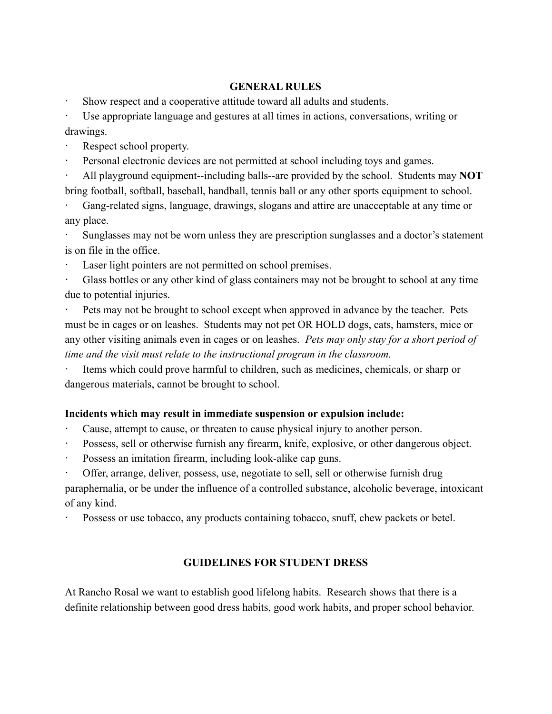## **GENERAL RULES**

Show respect and a cooperative attitude toward all adults and students.

· Use appropriate language and gestures at all times in actions, conversations, writing or drawings.

- Respect school property.
- Personal electronic devices are not permitted at school including toys and games.

· All playground equipment--including balls--are provided by the school. Students may **NOT** bring football, softball, baseball, handball, tennis ball or any other sports equipment to school.

Gang-related signs, language, drawings, slogans and attire are unacceptable at any time or any place.

· Sunglasses may not be worn unless they are prescription sunglasses and a doctor's statement is on file in the office.

Laser light pointers are not permitted on school premises.

Glass bottles or any other kind of glass containers may not be brought to school at any time due to potential injuries.

Pets may not be brought to school except when approved in advance by the teacher. Pets must be in cages or on leashes. Students may not pet OR HOLD dogs, cats, hamsters, mice or any other visiting animals even in cages or on leashes. *Pets may only stay for a short period of time and the visit must relate to the instructional program in the classroom.*

Items which could prove harmful to children, such as medicines, chemicals, or sharp or dangerous materials, cannot be brought to school.

## **Incidents which may result in immediate suspension or expulsion include:**

- Cause, attempt to cause, or threaten to cause physical injury to another person.
- Possess, sell or otherwise furnish any firearm, knife, explosive, or other dangerous object.
- Possess an imitation firearm, including look-alike cap guns.

· Offer, arrange, deliver, possess, use, negotiate to sell, sell or otherwise furnish drug paraphernalia, or be under the influence of a controlled substance, alcoholic beverage, intoxicant of any kind.

Possess or use tobacco, any products containing tobacco, snuff, chew packets or betel.

## **GUIDELINES FOR STUDENT DRESS**

At Rancho Rosal we want to establish good lifelong habits. Research shows that there is a definite relationship between good dress habits, good work habits, and proper school behavior.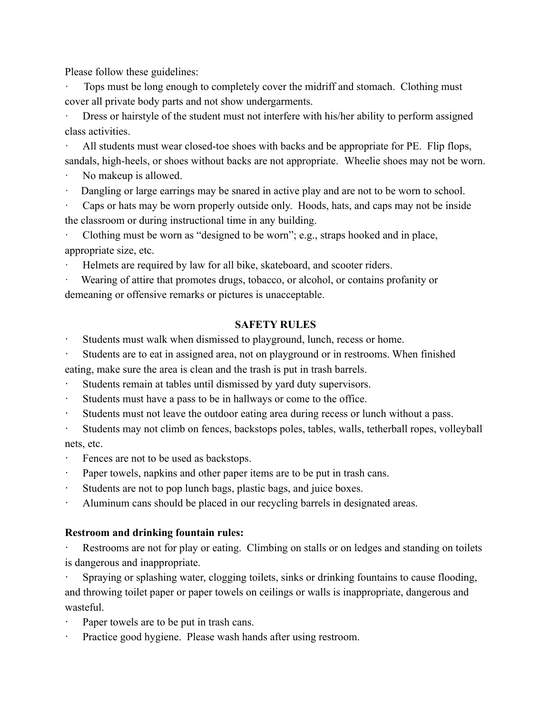Please follow these guidelines:

Tops must be long enough to completely cover the midriff and stomach. Clothing must cover all private body parts and not show undergarments.

· Dress or hairstyle of the student must not interfere with his/her ability to perform assigned class activities.

All students must wear closed-toe shoes with backs and be appropriate for PE. Flip flops, sandals, high-heels, or shoes without backs are not appropriate. Wheelie shoes may not be worn.

- No makeup is allowed.
- Dangling or large earrings may be snared in active play and are not to be worn to school.

Caps or hats may be worn properly outside only. Hoods, hats, and caps may not be inside the classroom or during instructional time in any building.

Clothing must be worn as "designed to be worn"; e.g., straps hooked and in place, appropriate size, etc.

Helmets are required by law for all bike, skateboard, and scooter riders.

Wearing of attire that promotes drugs, tobacco, or alcohol, or contains profanity or demeaning or offensive remarks or pictures is unacceptable.

## **SAFETY RULES**

Students must walk when dismissed to playground, lunch, recess or home.

Students are to eat in assigned area, not on playground or in restrooms. When finished eating, make sure the area is clean and the trash is put in trash barrels.

- Students remain at tables until dismissed by yard duty supervisors.
- · Students must have a pass to be in hallways or come to the office.
- · Students must not leave the outdoor eating area during recess or lunch without a pass.

· Students may not climb on fences, backstops poles, tables, walls, tetherball ropes, volleyball nets, etc.

- Fences are not to be used as backstops.
- · Paper towels, napkins and other paper items are to be put in trash cans.
- · Students are not to pop lunch bags, plastic bags, and juice boxes.
- · Aluminum cans should be placed in our recycling barrels in designated areas.

## **Restroom and drinking fountain rules:**

Restrooms are not for play or eating. Climbing on stalls or on ledges and standing on toilets is dangerous and inappropriate.

Spraying or splashing water, clogging toilets, sinks or drinking fountains to cause flooding, and throwing toilet paper or paper towels on ceilings or walls is inappropriate, dangerous and wasteful.

- Paper towels are to be put in trash cans.
- Practice good hygiene. Please wash hands after using restroom.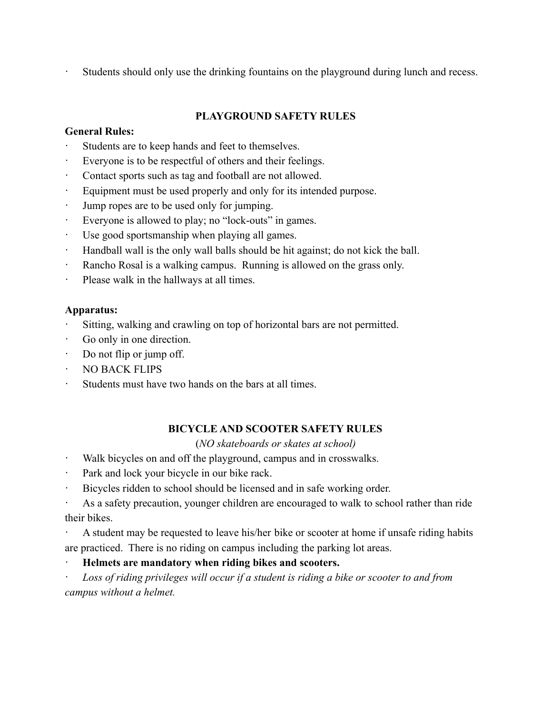Students should only use the drinking fountains on the playground during lunch and recess.

## **PLAYGROUND SAFETY RULES**

## **General Rules:**

- Students are to keep hands and feet to themselves.
- Everyone is to be respectful of others and their feelings.
- Contact sports such as tag and football are not allowed.
- Equipment must be used properly and only for its intended purpose.
- Jump ropes are to be used only for jumping.
- Everyone is allowed to play; no "lock-outs" in games.
- · Use good sportsmanship when playing all games.
- · Handball wall is the only wall balls should be hit against; do not kick the ball.
- · Rancho Rosal is a walking campus. Running is allowed on the grass only.
- Please walk in the hallways at all times.

## **Apparatus:**

- Sitting, walking and crawling on top of horizontal bars are not permitted.
- · Go only in one direction.
- Do not flip or jump off.
- · NO BACK FLIPS
- Students must have two hands on the bars at all times.

## **BICYCLE AND SCOOTER SAFETY RULES**

## (*NO skateboards or skates at school)*

- Walk bicycles on and off the playground, campus and in crosswalks.
- · Park and lock your bicycle in our bike rack.
- · Bicycles ridden to school should be licensed and in safe working order.

· As a safety precaution, younger children are encouraged to walk to school rather than ride their bikes.

· A student may be requested to leave his/her bike or scooter at home if unsafe riding habits are practiced. There is no riding on campus including the parking lot areas.

## · **Helmets are mandatory when riding bikes and scooters.**

· *Loss of riding privileges will occur if a student is riding a bike or scooter to and from campus without a helmet.*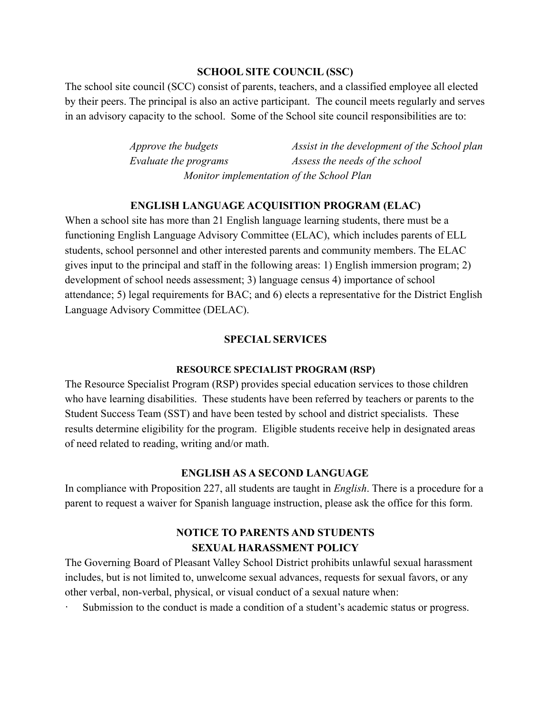#### **SCHOOL SITE COUNCIL (SSC)**

The school site council (SCC) consist of parents, teachers, and a classified employee all elected by their peers. The principal is also an active participant. The council meets regularly and serves in an advisory capacity to the school. Some of the School site council responsibilities are to:

> *Approve the budgets Assist in the development of the School plan Evaluate the programs Assess the needs of the school Monitor implementation of the School Plan*

#### **ENGLISH LANGUAGE ACQUISITION PROGRAM (ELAC)**

When a school site has more than 21 English language learning students, there must be a functioning English Language Advisory Committee (ELAC), which includes parents of ELL students, school personnel and other interested parents and community members. The ELAC gives input to the principal and staff in the following areas: 1) English immersion program; 2) development of school needs assessment; 3) language census 4) importance of school attendance; 5) legal requirements for BAC; and 6) elects a representative for the District English Language Advisory Committee (DELAC).

#### **SPECIAL SERVICES**

#### **RESOURCE SPECIALIST PROGRAM (RSP)**

The Resource Specialist Program (RSP) provides special education services to those children who have learning disabilities. These students have been referred by teachers or parents to the Student Success Team (SST) and have been tested by school and district specialists. These results determine eligibility for the program. Eligible students receive help in designated areas of need related to reading, writing and/or math.

#### **ENGLISH AS A SECOND LANGUAGE**

In compliance with Proposition 227, all students are taught in *English*. There is a procedure for a parent to request a waiver for Spanish language instruction, please ask the office for this form.

## **NOTICE TO PARENTS AND STUDENTS SEXUAL HARASSMENT POLICY**

The Governing Board of Pleasant Valley School District prohibits unlawful sexual harassment includes, but is not limited to, unwelcome sexual advances, requests for sexual favors, or any other verbal, non-verbal, physical, or visual conduct of a sexual nature when:

Submission to the conduct is made a condition of a student's academic status or progress.